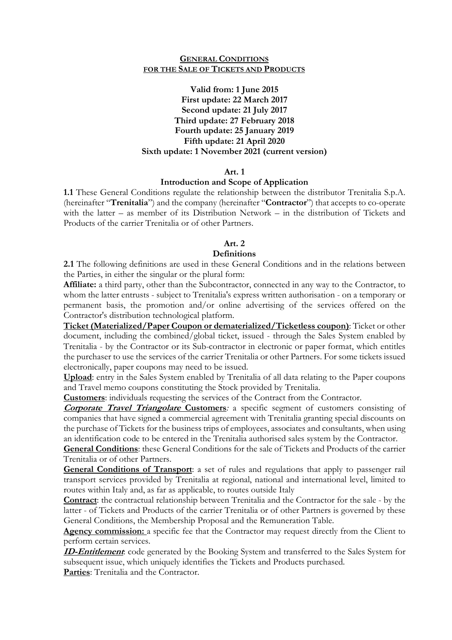### **GENERAL CONDITIONS FOR THE SALE OF TICKETS AND PRODUCTS**

**Valid from: 1 June 2015 First update: 22 March 2017 Second update: 21 July 2017 Third update: 27 February 2018 Fourth update: 25 January 2019 Fifth update: 21 April 2020 Sixth update: 1 November 2021 (current version)** 

### **Art. 1**

#### **Introduction and Scope of Application**

**1.1** These General Conditions regulate the relationship between the distributor Trenitalia S.p.A. (hereinafter "**Trenitalia**") and the company (hereinafter "**Contractor**") that accepts to co-operate with the latter – as member of its Distribution Network – in the distribution of Tickets and Products of the carrier Trenitalia or of other Partners.

# **Art. 2**

## **Definitions**

**2.1** The following definitions are used in these General Conditions and in the relations between the Parties, in either the singular or the plural form:

**Affiliate:** a third party, other than the Subcontractor, connected in any way to the Contractor, to whom the latter entrusts - subject to Trenitalia's express written authorisation - on a temporary or permanent basis, the promotion and/or online advertising of the services offered on the Contractor's distribution technological platform.

**Ticket (Materialized/Paper Coupon or dematerialized/Ticketless coupon)**: Ticket or other document, including the combined/global ticket, issued - through the Sales System enabled by Trenitalia - by the Contractor or its Sub-contractor in electronic or paper format, which entitles the purchaser to use the services of the carrier Trenitalia or other Partners. For some tickets issued electronically, paper coupons may need to be issued.

**Upload**: entry in the Sales System enabled by Trenitalia of all data relating to the Paper coupons and Travel memo coupons constituting the Stock provided by Trenitalia.

**Customers**: individuals requesting the services of the Contract from the Contractor.

**Corporate Travel Triangolare Customers**: a specific segment of customers consisting of companies that have signed a commercial agreement with Trenitalia granting special discounts on the purchase of Tickets for the business trips of employees, associates and consultants, when using an identification code to be entered in the Trenitalia authorised sales system by the Contractor.

**General Conditions**: these General Conditions for the sale of Tickets and Products of the carrier Trenitalia or of other Partners.

**General Conditions of Transport**: a set of rules and regulations that apply to passenger rail transport services provided by Trenitalia at regional, national and international level, limited to routes within Italy and, as far as applicable, to routes outside Italy

**Contract**: the contractual relationship between Trenitalia and the Contractor for the sale - by the latter - of Tickets and Products of the carrier Trenitalia or of other Partners is governed by these General Conditions, the Membership Proposal and the Remuneration Table.

**Agency commission:** a specific fee that the Contractor may request directly from the Client to perform certain services.

**ID-Entitlement**: code generated by the Booking System and transferred to the Sales System for subsequent issue, which uniquely identifies the Tickets and Products purchased.

**Parties**: Trenitalia and the Contractor.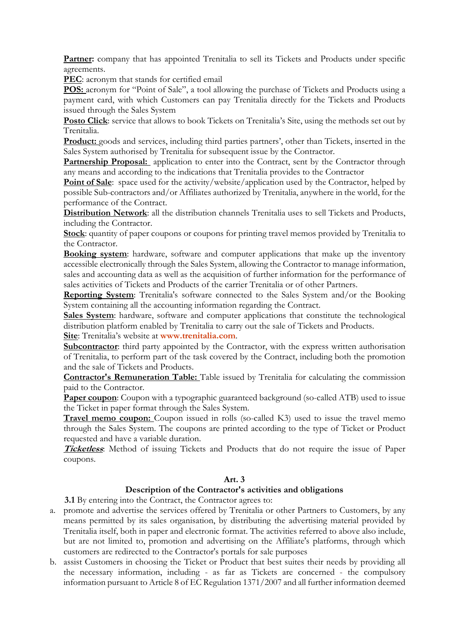Partner: company that has appointed Trenitalia to sell its Tickets and Products under specific agreements.

**PEC**: acronym that stands for certified email

**POS:** acronym for "Point of Sale", a tool allowing the purchase of Tickets and Products using a payment card, with which Customers can pay Trenitalia directly for the Tickets and Products issued through the Sales System

**Posto Click**: service that allows to book Tickets on Trenitalia's Site, using the methods set out by Trenitalia.

**Product:** goods and services, including third parties partners', other than Tickets, inserted in the Sales System authorised by Trenitalia for subsequent issue by the Contractor.

**Partnership Proposal:** application to enter into the Contract, sent by the Contractor through any means and according to the indications that Trenitalia provides to the Contractor

**Point of Sale**: space used for the activity/website/application used by the Contractor, helped by possible Sub-contractors and/or Affiliates authorized by Trenitalia, anywhere in the world, for the performance of the Contract.

**Distribution Network**: all the distribution channels Trenitalia uses to sell Tickets and Products, including the Contractor.

**Stock**: quantity of paper coupons or coupons for printing travel memos provided by Trenitalia to the Contractor.

**Booking system**: hardware, software and computer applications that make up the inventory accessible electronically through the Sales System, allowing the Contractor to manage information, sales and accounting data as well as the acquisition of further information for the performance of sales activities of Tickets and Products of the carrier Trenitalia or of other Partners.

**Reporting System**: Trenitalia's software connected to the Sales System and/or the Booking System containing all the accounting information regarding the Contract.

Sales System: hardware, software and computer applications that constitute the technological distribution platform enabled by Trenitalia to carry out the sale of Tickets and Products.

**Site**: Trenitalia's website at **www.trenitalia.com**.

**Subcontractor**: third party appointed by the Contractor, with the express written authorisation of Trenitalia, to perform part of the task covered by the Contract, including both the promotion and the sale of Tickets and Products.

**Contractor's Remuneration Table:** Table issued by Trenitalia for calculating the commission paid to the Contractor.

**Paper coupon:** Coupon with a typographic guaranteed background (so-called ATB) used to issue the Ticket in paper format through the Sales System.

**Travel memo coupon:** Coupon issued in rolls (so-called K3) used to issue the travel memo through the Sales System. The coupons are printed according to the type of Ticket or Product requested and have a variable duration.

**Ticketless**: Method of issuing Tickets and Products that do not require the issue of Paper coupons.

### **Art. 3**

### **Description of the Contractor's activities and obligations**

**3.1** By entering into the Contract, the Contractor agrees to:

- a. promote and advertise the services offered by Trenitalia or other Partners to Customers, by any means permitted by its sales organisation, by distributing the advertising material provided by Trenitalia itself, both in paper and electronic format. The activities referred to above also include, but are not limited to, promotion and advertising on the Affiliate's platforms, through which customers are redirected to the Contractor's portals for sale purposes
- b. assist Customers in choosing the Ticket or Product that best suites their needs by providing all the necessary information, including - as far as Tickets are concerned - the compulsory information pursuant to Article 8 of EC Regulation 1371/2007 and all further information deemed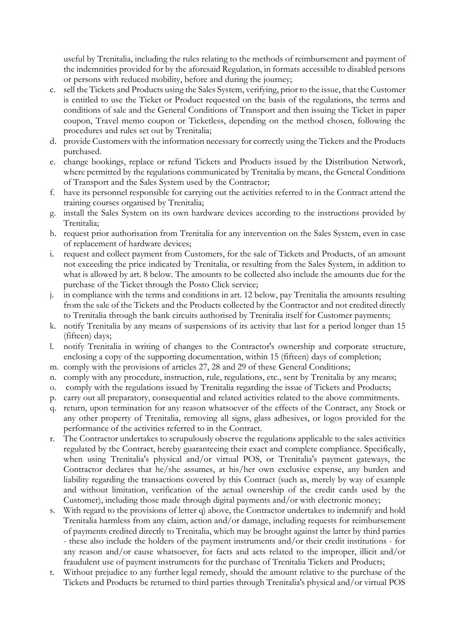useful by Trenitalia, including the rules relating to the methods of reimbursement and payment of the indemnities provided for by the aforesaid Regulation, in formats accessible to disabled persons or persons with reduced mobility, before and during the journey;

- c. sell the Tickets and Products using the Sales System, verifying, prior to the issue, that the Customer is entitled to use the Ticket or Product requested on the basis of the regulations, the terms and conditions of sale and the General Conditions of Transport and then issuing the Ticket in paper coupon, Travel memo coupon or Ticketless, depending on the method chosen, following the procedures and rules set out by Trenitalia;
- d. provide Customers with the information necessary for correctly using the Tickets and the Products purchased.
- e. change bookings, replace or refund Tickets and Products issued by the Distribution Network, where permitted by the regulations communicated by Trenitalia by means, the General Conditions of Transport and the Sales System used by the Contractor;
- f. have its personnel responsible for carrying out the activities referred to in the Contract attend the training courses organised by Trenitalia;
- g. install the Sales System on its own hardware devices according to the instructions provided by Trenitalia;
- h. request prior authorisation from Trenitalia for any intervention on the Sales System, even in case of replacement of hardware devices;
- i. request and collect payment from Customers, for the sale of Tickets and Products, of an amount not exceeding the price indicated by Trenitalia, or resulting from the Sales System, in addition to what is allowed by art. 8 below. The amounts to be collected also include the amounts due for the purchase of the Ticket through the Posto Click service;
- j. in compliance with the terms and conditions in art. 12 below, pay Trenitalia the amounts resulting from the sale of the Tickets and the Products collected by the Contractor and not credited directly to Trenitalia through the bank circuits authorised by Trenitalia itself for Customer payments;
- k. notify Trenitalia by any means of suspensions of its activity that last for a period longer than 15 (fifteen) days;
- l. notify Trenitalia in writing of changes to the Contractor's ownership and corporate structure, enclosing a copy of the supporting documentation, within 15 (fifteen) days of completion;
- m. comply with the provisions of articles 27, 28 and 29 of these General Conditions;
- n. comply with any procedure, instruction, rule, regulations, etc., sent by Trenitalia by any means;
- o. comply with the regulations issued by Trenitalia regarding the issue of Tickets and Products;
- p. carry out all preparatory, consequential and related activities related to the above commitments.
- q. return, upon termination for any reason whatsoever of the effects of the Contract, any Stock or any other property of Trenitalia, removing all signs, glass adhesives, or logos provided for the performance of the activities referred to in the Contract.
- r. The Contractor undertakes to scrupulously observe the regulations applicable to the sales activities regulated by the Contract, hereby guaranteeing their exact and complete compliance. Specifically, when using Trenitalia's physical and/or virtual POS, or Trenitalia's payment gateways, the Contractor declares that he/she assumes, at his/her own exclusive expense, any burden and liability regarding the transactions covered by this Contract (such as, merely by way of example and without limitation, verification of the actual ownership of the credit cards used by the Customer), including those made through digital payments and/or with electronic money;
- s. With regard to the provisions of letter q) above, the Contractor undertakes to indemnify and hold Trenitalia harmless from any claim, action and/or damage, including requests for reimbursement of payments credited directly to Trenitalia, which may be brought against the latter by third parties - these also include the holders of the payment instruments and/or their credit institutions - for any reason and/or cause whatsoever, for facts and acts related to the improper, illicit and/or fraudulent use of payment instruments for the purchase of Trenitalia Tickets and Products;
- t. Without prejudice to any further legal remedy, should the amount relative to the purchase of the Tickets and Products be returned to third parties through Trenitalia's physical and/or virtual POS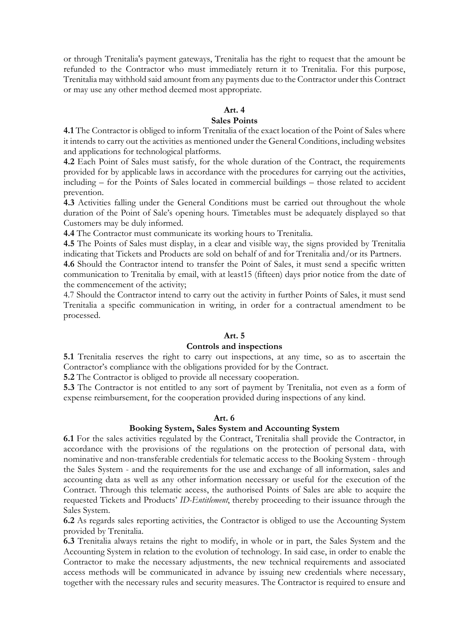or through Trenitalia's payment gateways, Trenitalia has the right to request that the amount be refunded to the Contractor who must immediately return it to Trenitalia. For this purpose, Trenitalia may withhold said amount from any payments due to the Contractor under this Contract or may use any other method deemed most appropriate.

#### **Art. 4**

# **Sales Points**

**4.1** The Contractor is obliged to inform Trenitalia of the exact location of the Point of Sales where it intends to carry out the activities as mentioned under the General Conditions, including websites and applications for technological platforms.

**4.2** Each Point of Sales must satisfy, for the whole duration of the Contract, the requirements provided for by applicable laws in accordance with the procedures for carrying out the activities, including – for the Points of Sales located in commercial buildings – those related to accident prevention.

**4.3** Activities falling under the General Conditions must be carried out throughout the whole duration of the Point of Sale's opening hours. Timetables must be adequately displayed so that Customers may be duly informed.

**4.4** The Contractor must communicate its working hours to Trenitalia.

**4.5** The Points of Sales must display, in a clear and visible way, the signs provided by Trenitalia indicating that Tickets and Products are sold on behalf of and for Trenitalia and/or its Partners.

**4.6** Should the Contractor intend to transfer the Point of Sales, it must send a specific written communication to Trenitalia by email, with at least15 (fifteen) days prior notice from the date of the commencement of the activity;

4.7 Should the Contractor intend to carry out the activity in further Points of Sales, it must send Trenitalia a specific communication in writing, in order for a contractual amendment to be processed.

#### **Art. 5**

#### **Controls and inspections**

**5.1** Trenitalia reserves the right to carry out inspections, at any time, so as to ascertain the Contractor's compliance with the obligations provided for by the Contract.

**5.2** The Contractor is obliged to provide all necessary cooperation.

**5.3** The Contractor is not entitled to any sort of payment by Trenitalia, not even as a form of expense reimbursement, for the cooperation provided during inspections of any kind.

#### **Art. 6**

#### **Booking System, Sales System and Accounting System**

**6.1** For the sales activities regulated by the Contract, Trenitalia shall provide the Contractor, in accordance with the provisions of the regulations on the protection of personal data, with nominative and non-transferable credentials for telematic access to the Booking System - through the Sales System - and the requirements for the use and exchange of all information, sales and accounting data as well as any other information necessary or useful for the execution of the Contract. Through this telematic access, the authorised Points of Sales are able to acquire the requested Tickets and Products' *ID-Entitlement*, thereby proceeding to their issuance through the Sales System.

**6.2** As regards sales reporting activities, the Contractor is obliged to use the Accounting System provided by Trenitalia.

**6.3** Trenitalia always retains the right to modify, in whole or in part, the Sales System and the Accounting System in relation to the evolution of technology. In said case, in order to enable the Contractor to make the necessary adjustments, the new technical requirements and associated access methods will be communicated in advance by issuing new credentials where necessary, together with the necessary rules and security measures. The Contractor is required to ensure and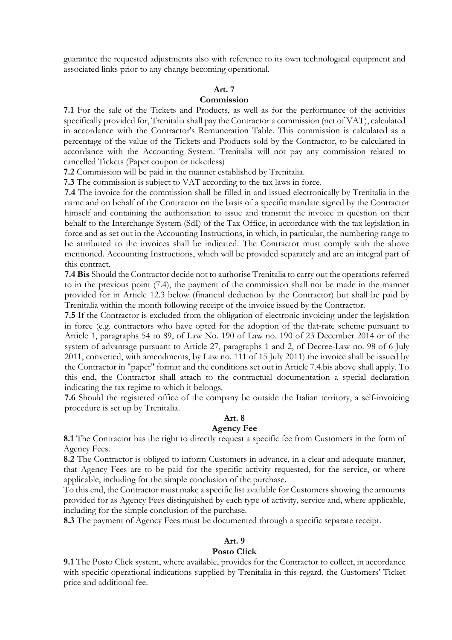guarantee the requested adjustments also with reference to its own technological equipment and associated links prior to any change becoming operational.

### **Art. 7**

#### **Commission**

**7.1** For the sale of the Tickets and Products, as well as for the performance of the activities specifically provided for, Trenitalia shall pay the Contractor a commission (net of VAT), calculated in accordance with the Contractor's Remuneration Table. This commission is calculated as a percentage of the value of the Tickets and Products sold by the Contractor, to be calculated in accordance with the Accounting System. Trenitalia will not pay any commission related to cancelled Tickets (Paper coupon or ticketless)

**7.2** Commission will be paid in the manner established by Trenitalia.

**7.3** The commission is subject to VAT according to the tax laws in force.

**7.4** The invoice for the commission shall be filled in and issued electronically by Trenitalia in the name and on behalf of the Contractor on the basis of a specific mandate signed by the Contractor himself and containing the authorisation to issue and transmit the invoice in question on their behalf to the Interchange System (SdI) of the Tax Office, in accordance with the tax legislation in force and as set out in the Accounting Instructions, in which, in particular, the numbering range to be attributed to the invoices shall be indicated. The Contractor must comply with the above mentioned. Accounting Instructions, which will be provided separately and are an integral part of this contract.

**7.4 Bis** Should the Contractor decide not to authorise Trenitalia to carry out the operations referred to in the previous point (7.4), the payment of the commission shall not be made in the manner provided for in Article 12.3 below (financial deduction by the Contractor) but shall be paid by Trenitalia within the month following receipt of the invoice issued by the Contractor.

**7.5** If the Contractor is excluded from the obligation of electronic invoicing under the legislation in force (e.g. contractors who have opted for the adoption of the flat-rate scheme pursuant to Article 1, paragraphs 54 to 89, of Law No. 190 of Law no. 190 of 23 December 2014 or of the system of advantage pursuant to Article 27, paragraphs 1 and 2, of Decree-Law no. 98 of 6 July 2011, converted, with amendments, by Law no. 111 of 15 July 2011) the invoice shall be issued by the Contractor in "paper" format and the conditions set out in Article 7.4.bis above shall apply. To this end, the Contractor shall attach to the contractual documentation a special declaration indicating the tax regime to which it belongs.

**7.6** Should the registered office of the company be outside the Italian territory, a self-invoicing procedure is set up by Trenitalia.

### **Art. 8**

#### **Agency Fee**

**8.1** The Contractor has the right to directly request a specific fee from Customers in the form of Agency Fees.

**8.2** The Contractor is obliged to inform Customers in advance, in a clear and adequate manner, that Agency Fees are to be paid for the specific activity requested, for the service, or where applicable, including for the simple conclusion of the purchase.

To this end, the Contractor must make a specific list available for Customers showing the amounts provided for as Agency Fees distinguished by each type of activity, service and, where applicable, including for the simple conclusion of the purchase.

**8.3** The payment of Agency Fees must be documented through a specific separate receipt.

#### **Art. 9**

#### **Posto Click**

**9.1** The Posto Click system, where available, provides for the Contractor to collect, in accordance with specific operational indications supplied by Trenitalia in this regard, the Customers' Ticket price and additional fee.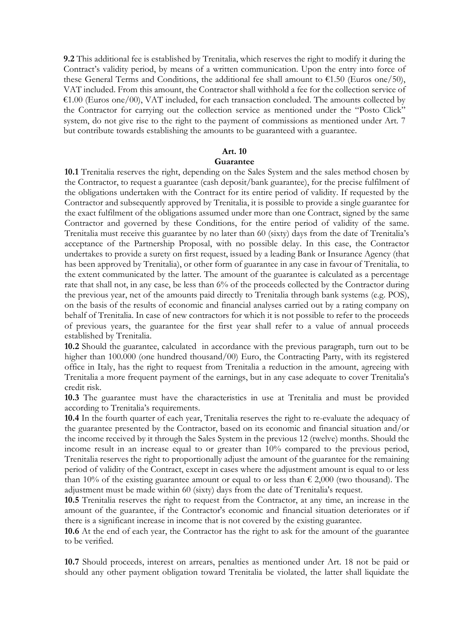**9.2** This additional fee is established by Trenitalia, which reserves the right to modify it during the Contract's validity period, by means of a written communication. Upon the entry into force of these General Terms and Conditions, the additional fee shall amount to  $\epsilon$ 1.50 (Euros one/50), VAT included. From this amount, the Contractor shall withhold a fee for the collection service of  $€1.00$  (Euros one/00), VAT included, for each transaction concluded. The amounts collected by the Contractor for carrying out the collection service as mentioned under the "Posto Click" system, do not give rise to the right to the payment of commissions as mentioned under Art. 7 but contribute towards establishing the amounts to be guaranteed with a guarantee.

#### **Art. 10**

#### **Guarantee**

**10.1** Trenitalia reserves the right, depending on the Sales System and the sales method chosen by the Contractor, to request a guarantee (cash deposit/bank guarantee), for the precise fulfilment of the obligations undertaken with the Contract for its entire period of validity. If requested by the Contractor and subsequently approved by Trenitalia, it is possible to provide a single guarantee for the exact fulfilment of the obligations assumed under more than one Contract, signed by the same Contractor and governed by these Conditions, for the entire period of validity of the same. Trenitalia must receive this guarantee by no later than 60 (sixty) days from the date of Trenitalia's acceptance of the Partnership Proposal, with no possible delay. In this case, the Contractor undertakes to provide a surety on first request, issued by a leading Bank or Insurance Agency (that has been approved by Trenitalia), or other form of guarantee in any case in favour of Trenitalia, to the extent communicated by the latter. The amount of the guarantee is calculated as a percentage rate that shall not, in any case, be less than 6% of the proceeds collected by the Contractor during the previous year, net of the amounts paid directly to Trenitalia through bank systems (e.g. POS), on the basis of the results of economic and financial analyses carried out by a rating company on behalf of Trenitalia. In case of new contractors for which it is not possible to refer to the proceeds of previous years, the guarantee for the first year shall refer to a value of annual proceeds established by Trenitalia.

**10.2** Should the guarantee, calculated in accordance with the previous paragraph, turn out to be higher than 100.000 (one hundred thousand/00) Euro, the Contracting Party, with its registered office in Italy, has the right to request from Trenitalia a reduction in the amount, agreeing with Trenitalia a more frequent payment of the earnings, but in any case adequate to cover Trenitalia's credit risk.

**10.3** The guarantee must have the characteristics in use at Trenitalia and must be provided according to Trenitalia's requirements.

**10.4** In the fourth quarter of each year, Trenitalia reserves the right to re-evaluate the adequacy of the guarantee presented by the Contractor, based on its economic and financial situation and/or the income received by it through the Sales System in the previous 12 (twelve) months. Should the income result in an increase equal to or greater than 10% compared to the previous period, Trenitalia reserves the right to proportionally adjust the amount of the guarantee for the remaining period of validity of the Contract, except in cases where the adjustment amount is equal to or less than 10% of the existing guarantee amount or equal to or less than  $\epsilon$  2,000 (two thousand). The adjustment must be made within 60 (sixty) days from the date of Trenitalia's request.

**10.5** Trenitalia reserves the right to request from the Contractor, at any time, an increase in the amount of the guarantee, if the Contractor's economic and financial situation deteriorates or if there is a significant increase in income that is not covered by the existing guarantee.

**10.6** At the end of each year, the Contractor has the right to ask for the amount of the guarantee to be verified.

**10.7** Should proceeds, interest on arrears, penalties as mentioned under Art. 18 not be paid or should any other payment obligation toward Trenitalia be violated, the latter shall liquidate the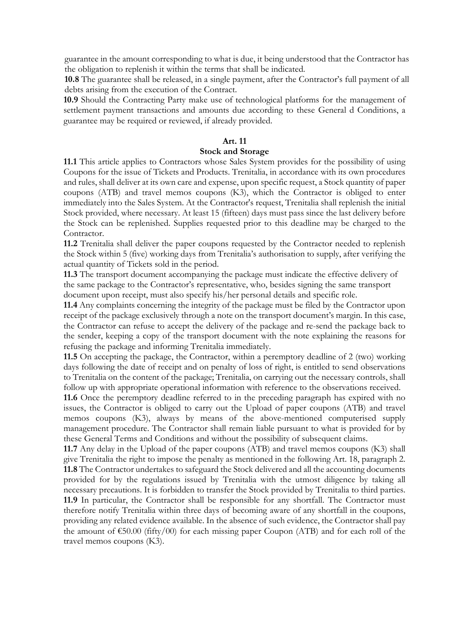guarantee in the amount corresponding to what is due, it being understood that the Contractor has the obligation to replenish it within the terms that shall be indicated.

**10.8** The guarantee shall be released, in a single payment, after the Contractor's full payment of all debts arising from the execution of the Contract.

**10.9** Should the Contracting Party make use of technological platforms for the management of settlement payment transactions and amounts due according to these General d Conditions, a guarantee may be required or reviewed, if already provided.

### **Art. 11**

### **Stock and Storage**

**11.1** This article applies to Contractors whose Sales System provides for the possibility of using Coupons for the issue of Tickets and Products. Trenitalia, in accordance with its own procedures and rules, shall deliver at its own care and expense, upon specific request, a Stock quantity of paper coupons (ATB) and travel memos coupons (K3), which the Contractor is obliged to enter immediately into the Sales System. At the Contractor's request, Trenitalia shall replenish the initial Stock provided, where necessary. At least 15 (fifteen) days must pass since the last delivery before the Stock can be replenished. Supplies requested prior to this deadline may be charged to the Contractor.

**11.2** Trenitalia shall deliver the paper coupons requested by the Contractor needed to replenish the Stock within 5 (five) working days from Trenitalia's authorisation to supply, after verifying the actual quantity of Tickets sold in the period.

**11.3** The transport document accompanying the package must indicate the effective delivery of the same package to the Contractor's representative, who, besides signing the same transport document upon receipt, must also specify his/her personal details and specific role.

**11.4** Any complaints concerning the integrity of the package must be filed by the Contractor upon receipt of the package exclusively through a note on the transport document's margin. In this case, the Contractor can refuse to accept the delivery of the package and re-send the package back to the sender, keeping a copy of the transport document with the note explaining the reasons for refusing the package and informing Trenitalia immediately.

**11.5** On accepting the package, the Contractor, within a peremptory deadline of 2 (two) working days following the date of receipt and on penalty of loss of right, is entitled to send observations to Trenitalia on the content of the package; Trenitalia, on carrying out the necessary controls, shall follow up with appropriate operational information with reference to the observations received.

**11.6** Once the peremptory deadline referred to in the preceding paragraph has expired with no issues, the Contractor is obliged to carry out the Upload of paper coupons (ATB) and travel memos coupons (K3), always by means of the above-mentioned computerised supply management procedure. The Contractor shall remain liable pursuant to what is provided for by these General Terms and Conditions and without the possibility of subsequent claims.

**11.7** Any delay in the Upload of the paper coupons (ATB) and travel memos coupons (K3) shall give Trenitalia the right to impose the penalty as mentioned in the following Art. 18, paragraph 2. **11.8** The Contractor undertakes to safeguard the Stock delivered and all the accounting documents provided for by the regulations issued by Trenitalia with the utmost diligence by taking all necessary precautions. It is forbidden to transfer the Stock provided by Trenitalia to third parties. **11.9** In particular, the Contractor shall be responsible for any shortfall. The Contractor must therefore notify Trenitalia within three days of becoming aware of any shortfall in the coupons, providing any related evidence available. In the absence of such evidence, the Contractor shall pay the amount of  $\epsilon$ 50.00 (fifty/00) for each missing paper Coupon (ATB) and for each roll of the travel memos coupons (K3).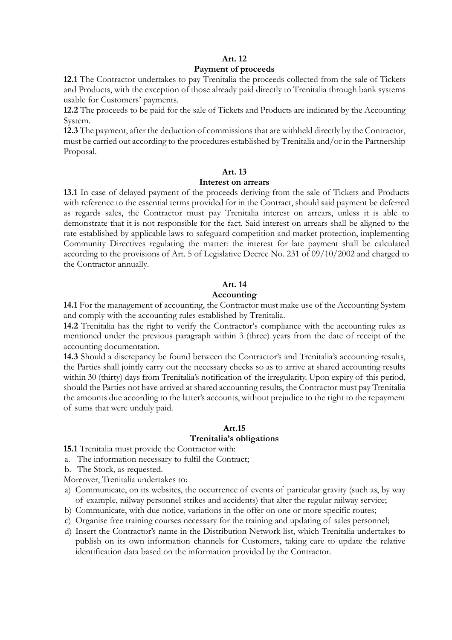### **Art. 12**

#### **Payment of proceeds**

**12.1** The Contractor undertakes to pay Trenitalia the proceeds collected from the sale of Tickets and Products, with the exception of those already paid directly to Trenitalia through bank systems usable for Customers' payments.

**12.2** The proceeds to be paid for the sale of Tickets and Products are indicated by the Accounting System.

**12.3** The payment, after the deduction of commissions that are withheld directly by the Contractor, must be carried out according to the procedures established by Trenitalia and/or in the Partnership Proposal.

#### **Art. 13**

#### **Interest on arrears**

**13.1** In case of delayed payment of the proceeds deriving from the sale of Tickets and Products with reference to the essential terms provided for in the Contract, should said payment be deferred as regards sales, the Contractor must pay Trenitalia interest on arrears, unless it is able to demonstrate that it is not responsible for the fact. Said interest on arrears shall be aligned to the rate established by applicable laws to safeguard competition and market protection, implementing Community Directives regulating the matter: the interest for late payment shall be calculated according to the provisions of Art. 5 of Legislative Decree No. 231 of 09/10/2002 and charged to the Contractor annually.

### **Art. 14**

### **Accounting**

**14.1** For the management of accounting, the Contractor must make use of the Accounting System and comply with the accounting rules established by Trenitalia.

**14.2** Trenitalia has the right to verify the Contractor's compliance with the accounting rules as mentioned under the previous paragraph within 3 (three) years from the date of receipt of the accounting documentation.

**14.3** Should a discrepancy be found between the Contractor's and Trenitalia's accounting results, the Parties shall jointly carry out the necessary checks so as to arrive at shared accounting results within 30 (thirty) days from Trenitalia's notification of the irregularity. Upon expiry of this period, should the Parties not have arrived at shared accounting results, the Contractor must pay Trenitalia the amounts due according to the latter's accounts, without prejudice to the right to the repayment of sums that were unduly paid.

# **Art.15**

# **Trenitalia's obligations**

**15.1** Trenitalia must provide the Contractor with:

a. The information necessary to fulfil the Contract;

b. The Stock, as requested.

Moreover, Trenitalia undertakes to:

- a) Communicate, on its websites, the occurrence of events of particular gravity (such as, by way of example, railway personnel strikes and accidents) that alter the regular railway service;
- b) Communicate, with due notice, variations in the offer on one or more specific routes;
- c) Organise free training courses necessary for the training and updating of sales personnel;
- d) Insert the Contractor's name in the Distribution Network list, which Trenitalia undertakes to publish on its own information channels for Customers, taking care to update the relative identification data based on the information provided by the Contractor.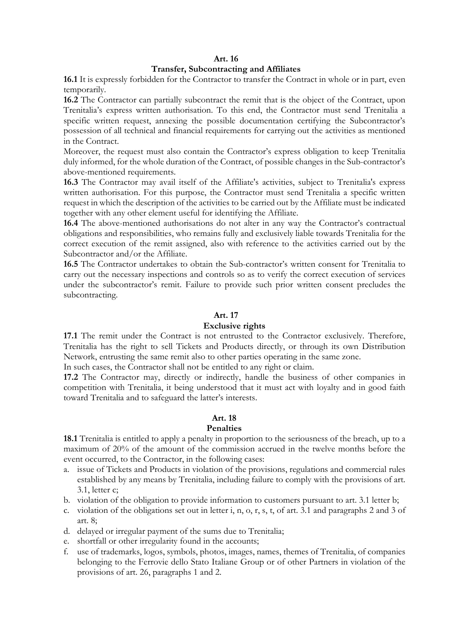### **Art. 16**

### **Transfer, Subcontracting and Affiliates**

**16.1** It is expressly forbidden for the Contractor to transfer the Contract in whole or in part, even temporarily.

**16.2** The Contractor can partially subcontract the remit that is the object of the Contract, upon Trenitalia's express written authorisation. To this end, the Contractor must send Trenitalia a specific written request, annexing the possible documentation certifying the Subcontractor's possession of all technical and financial requirements for carrying out the activities as mentioned in the Contract.

Moreover, the request must also contain the Contractor's express obligation to keep Trenitalia duly informed, for the whole duration of the Contract, of possible changes in the Sub-contractor's above-mentioned requirements.

**16.3** The Contractor may avail itself of the Affiliate's activities, subject to Trenitalia's express written authorisation. For this purpose, the Contractor must send Trenitalia a specific written request in which the description of the activities to be carried out by the Affiliate must be indicated together with any other element useful for identifying the Affiliate.

**16.4** The above-mentioned authorisations do not alter in any way the Contractor's contractual obligations and responsibilities, who remains fully and exclusively liable towards Trenitalia for the correct execution of the remit assigned, also with reference to the activities carried out by the Subcontractor and/or the Affiliate.

**16.5** The Contractor undertakes to obtain the Sub-contractor's written consent for Trenitalia to carry out the necessary inspections and controls so as to verify the correct execution of services under the subcontractor's remit. Failure to provide such prior written consent precludes the subcontracting.

### **Art. 17**

#### **Exclusive rights**

**17.1** The remit under the Contract is not entrusted to the Contractor exclusively. Therefore, Trenitalia has the right to sell Tickets and Products directly, or through its own Distribution Network, entrusting the same remit also to other parties operating in the same zone.

In such cases, the Contractor shall not be entitled to any right or claim.

**17.2** The Contractor may, directly or indirectly, handle the business of other companies in competition with Trenitalia, it being understood that it must act with loyalty and in good faith toward Trenitalia and to safeguard the latter's interests.

### **Art. 18**

#### **Penalties**

**18.1** Trenitalia is entitled to apply a penalty in proportion to the seriousness of the breach, up to a maximum of 20% of the amount of the commission accrued in the twelve months before the event occurred, to the Contractor, in the following cases:

- a. issue of Tickets and Products in violation of the provisions, regulations and commercial rules established by any means by Trenitalia, including failure to comply with the provisions of art. 3.1, letter c;
- b. violation of the obligation to provide information to customers pursuant to art. 3.1 letter b;
- c. violation of the obligations set out in letter i, n, o, r, s, t, of art. 3.1 and paragraphs 2 and 3 of art. 8;
- d. delayed or irregular payment of the sums due to Trenitalia;
- e. shortfall or other irregularity found in the accounts;
- f. use of trademarks, logos, symbols, photos, images, names, themes of Trenitalia, of companies belonging to the Ferrovie dello Stato Italiane Group or of other Partners in violation of the provisions of art. 26, paragraphs 1 and 2.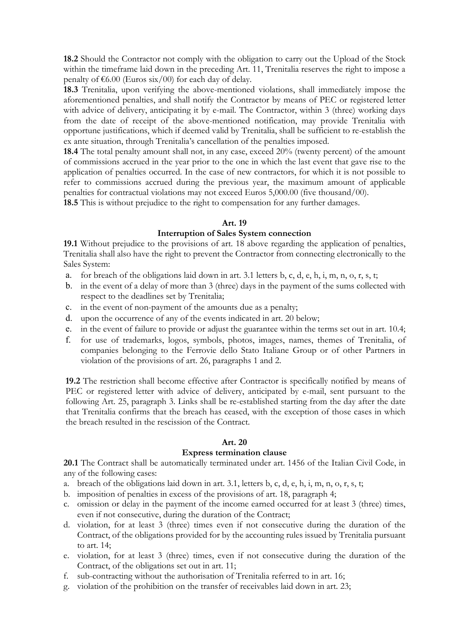**18.2** Should the Contractor not comply with the obligation to carry out the Upload of the Stock within the timeframe laid down in the preceding Art. 11, Trenitalia reserves the right to impose a penalty of  $\epsilon$ 6.00 (Euros six/00) for each day of delay.

**18.3** Trenitalia, upon verifying the above-mentioned violations, shall immediately impose the aforementioned penalties, and shall notify the Contractor by means of PEC or registered letter with advice of delivery, anticipating it by e-mail. The Contractor, within 3 (three) working days from the date of receipt of the above-mentioned notification, may provide Trenitalia with opportune justifications, which if deemed valid by Trenitalia, shall be sufficient to re-establish the ex ante situation, through Trenitalia's cancellation of the penalties imposed.

**18.4** The total penalty amount shall not, in any case, exceed 20% (twenty percent) of the amount of commissions accrued in the year prior to the one in which the last event that gave rise to the application of penalties occurred. In the case of new contractors, for which it is not possible to refer to commissions accrued during the previous year, the maximum amount of applicable penalties for contractual violations may not exceed Euros 5,000.00 (five thousand/00).

**18.5** This is without prejudice to the right to compensation for any further damages.

### **Art. 19**

### **Interruption of Sales System connection**

**19.1** Without prejudice to the provisions of art. 18 above regarding the application of penalties, Trenitalia shall also have the right to prevent the Contractor from connecting electronically to the Sales System:

- a. for breach of the obligations laid down in art. 3.1 letters b, c, d, e, h, i, m, n, o, r, s, t;
- b. in the event of a delay of more than 3 (three) days in the payment of the sums collected with respect to the deadlines set by Trenitalia;
- c. in the event of non-payment of the amounts due as a penalty;
- d. upon the occurrence of any of the events indicated in art. 20 below;
- e. in the event of failure to provide or adjust the guarantee within the terms set out in art. 10.4;
- f. for use of trademarks, logos, symbols, photos, images, names, themes of Trenitalia, of companies belonging to the Ferrovie dello Stato Italiane Group or of other Partners in violation of the provisions of art. 26, paragraphs 1 and 2.

**19.2** The restriction shall become effective after Contractor is specifically notified by means of PEC or registered letter with advice of delivery, anticipated by e-mail, sent pursuant to the following Art. 25, paragraph 3. Links shall be re-established starting from the day after the date that Trenitalia confirms that the breach has ceased, with the exception of those cases in which the breach resulted in the rescission of the Contract.

#### **Art. 20**

#### **Express termination clause**

**20.1** The Contract shall be automatically terminated under art. 1456 of the Italian Civil Code, in any of the following cases:

- a. breach of the obligations laid down in art. 3.1, letters b, c, d, e, h, i, m, n, o, r, s, t;
- b. imposition of penalties in excess of the provisions of art. 18, paragraph 4;
- c. omission or delay in the payment of the income earned occurred for at least 3 (three) times, even if not consecutive, during the duration of the Contract;
- d. violation, for at least 3 (three) times even if not consecutive during the duration of the Contract, of the obligations provided for by the accounting rules issued by Trenitalia pursuant to art. 14;
- e. violation, for at least 3 (three) times, even if not consecutive during the duration of the Contract, of the obligations set out in art. 11;
- f. sub-contracting without the authorisation of Trenitalia referred to in art. 16;
- g. violation of the prohibition on the transfer of receivables laid down in art. 23;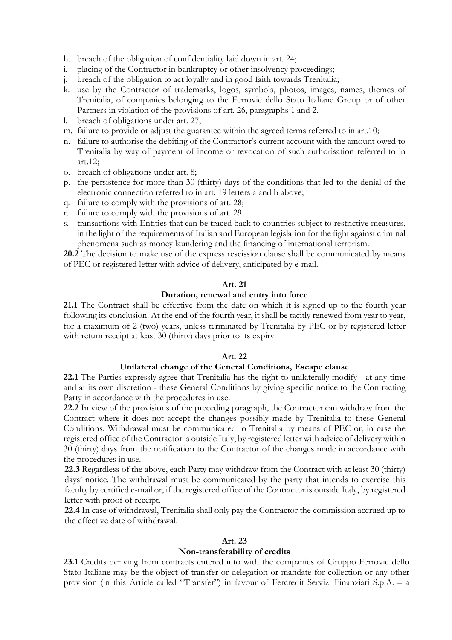- h. breach of the obligation of confidentiality laid down in art. 24;
- i. placing of the Contractor in bankruptcy or other insolvency proceedings;
- j. breach of the obligation to act loyally and in good faith towards Trenitalia;
- k. use by the Contractor of trademarks, logos, symbols, photos, images, names, themes of Trenitalia, of companies belonging to the Ferrovie dello Stato Italiane Group or of other Partners in violation of the provisions of art. 26, paragraphs 1 and 2.
- l. breach of obligations under art. 27;
- m. failure to provide or adjust the guarantee within the agreed terms referred to in art.10;
- n. failure to authorise the debiting of the Contractor's current account with the amount owed to Trenitalia by way of payment of income or revocation of such authorisation referred to in art.12;
- o. breach of obligations under art. 8;
- p. the persistence for more than 30 (thirty) days of the conditions that led to the denial of the electronic connection referred to in art. 19 letters a and b above;
- q. failure to comply with the provisions of art. 28;
- r. failure to comply with the provisions of art. 29.
- s. transactions with Entities that can be traced back to countries subject to restrictive measures, in the light of the requirements of Italian and European legislation for the fight against criminal phenomena such as money laundering and the financing of international terrorism.

**20.2** The decision to make use of the express rescission clause shall be communicated by means of PEC or registered letter with advice of delivery, anticipated by e-mail.

#### **Art. 21**

#### **Duration, renewal and entry into force**

**21.1** The Contract shall be effective from the date on which it is signed up to the fourth year following its conclusion. At the end of the fourth year, it shall be tacitly renewed from year to year, for a maximum of 2 (two) years, unless terminated by Trenitalia by PEC or by registered letter with return receipt at least 30 (thirty) days prior to its expiry.

#### **Art. 22**

#### **Unilateral change of the General Conditions, Escape clause**

**22.1** The Parties expressly agree that Trenitalia has the right to unilaterally modify - at any time and at its own discretion - these General Conditions by giving specific notice to the Contracting Party in accordance with the procedures in use.

**22.2** In view of the provisions of the preceding paragraph, the Contractor can withdraw from the Contract where it does not accept the changes possibly made by Trenitalia to these General Conditions. Withdrawal must be communicated to Trenitalia by means of PEC or, in case the registered office of the Contractor is outside Italy, by registered letter with advice of delivery within 30 (thirty) days from the notification to the Contractor of the changes made in accordance with the procedures in use.

**22.3** Regardless of the above, each Party may withdraw from the Contract with at least 30 (thirty) days' notice. The withdrawal must be communicated by the party that intends to exercise this faculty by certified e-mail or, if the registered office of the Contractor is outside Italy, by registered letter with proof of receipt.

**22.4** In case of withdrawal, Trenitalia shall only pay the Contractor the commission accrued up to the effective date of withdrawal.

#### **Art. 23**

#### **Non-transferability of credits**

**23.1** Credits deriving from contracts entered into with the companies of Gruppo Ferrovie dello Stato Italiane may be the object of transfer or delegation or mandate for collection or any other provision (in this Article called "Transfer") in favour of Fercredit Servizi Finanziari S.p.A. – a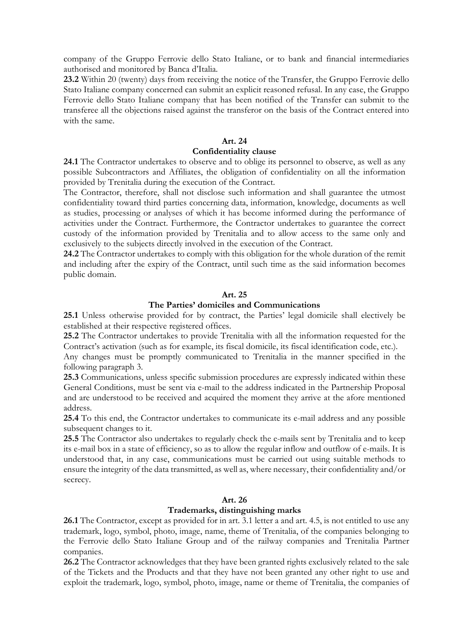company of the Gruppo Ferrovie dello Stato Italiane, or to bank and financial intermediaries authorised and monitored by Banca d'Italia.

**23.2** Within 20 (twenty) days from receiving the notice of the Transfer, the Gruppo Ferrovie dello Stato Italiane company concerned can submit an explicit reasoned refusal. In any case, the Gruppo Ferrovie dello Stato Italiane company that has been notified of the Transfer can submit to the transferee all the objections raised against the transferor on the basis of the Contract entered into with the same.

#### **Art. 24**

#### **Confidentiality clause**

**24.1** The Contractor undertakes to observe and to oblige its personnel to observe, as well as any possible Subcontractors and Affiliates, the obligation of confidentiality on all the information provided by Trenitalia during the execution of the Contract.

The Contractor, therefore, shall not disclose such information and shall guarantee the utmost confidentiality toward third parties concerning data, information, knowledge, documents as well as studies, processing or analyses of which it has become informed during the performance of activities under the Contract. Furthermore, the Contractor undertakes to guarantee the correct custody of the information provided by Trenitalia and to allow access to the same only and exclusively to the subjects directly involved in the execution of the Contract.

**24.2** The Contractor undertakes to comply with this obligation for the whole duration of the remit and including after the expiry of the Contract, until such time as the said information becomes public domain.

#### **Art. 25**

#### **The Parties' domiciles and Communications**

**25.1** Unless otherwise provided for by contract, the Parties' legal domicile shall electively be established at their respective registered offices.

**25.2** The Contractor undertakes to provide Trenitalia with all the information requested for the Contract's activation (such as for example, its fiscal domicile, its fiscal identification code, etc.).

Any changes must be promptly communicated to Trenitalia in the manner specified in the following paragraph 3.

**25.3** Communications, unless specific submission procedures are expressly indicated within these General Conditions, must be sent via e-mail to the address indicated in the Partnership Proposal and are understood to be received and acquired the moment they arrive at the afore mentioned address.

**25.4** To this end, the Contractor undertakes to communicate its e-mail address and any possible subsequent changes to it.

**25.5** The Contractor also undertakes to regularly check the e-mails sent by Trenitalia and to keep its e-mail box in a state of efficiency, so as to allow the regular inflow and outflow of e-mails. It is understood that, in any case, communications must be carried out using suitable methods to ensure the integrity of the data transmitted, as well as, where necessary, their confidentiality and/or secrecy.

### **Art. 26**

#### **Trademarks, distinguishing marks**

**26.1** The Contractor, except as provided for in art. 3.1 letter a and art. 4.5, is not entitled to use any trademark, logo, symbol, photo, image, name, theme of Trenitalia, of the companies belonging to the Ferrovie dello Stato Italiane Group and of the railway companies and Trenitalia Partner companies.

**26.2** The Contractor acknowledges that they have been granted rights exclusively related to the sale of the Tickets and the Products and that they have not been granted any other right to use and exploit the trademark, logo, symbol, photo, image, name or theme of Trenitalia, the companies of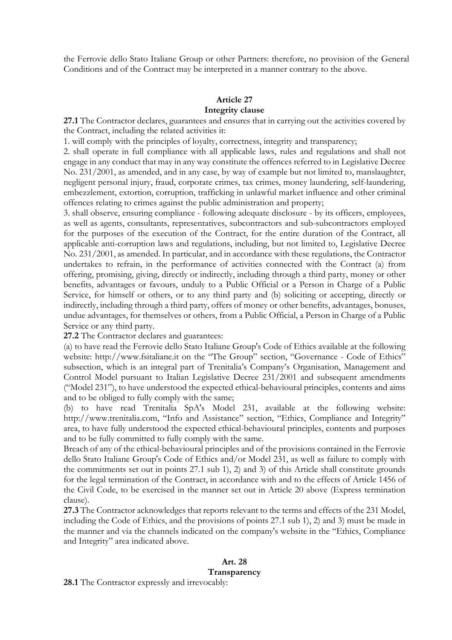the Ferrovie dello Stato Italiane Group or other Partners: therefore, no provision of the General Conditions and of the Contract may be interpreted in a manner contrary to the above.

### **Article 27**

### **Integrity clause**

**27.1** The Contractor declares, guarantees and ensures that in carrying out the activities covered by the Contract, including the related activities it:

1. will comply with the principles of loyalty, correctness, integrity and transparency;

2. shall operate in full compliance with all applicable laws, rules and regulations and shall not engage in any conduct that may in any way constitute the offences referred to in Legislative Decree No. 231/2001, as amended, and in any case, by way of example but not limited to, manslaughter, negligent personal injury, fraud, corporate crimes, tax crimes, money laundering, self-laundering, embezzlement, extortion, corruption, trafficking in unlawful market influence and other criminal offences relating to crimes against the public administration and property;

3. shall observe, ensuring compliance - following adequate disclosure - by its officers, employees, as well as agents, consultants, representatives, subcontractors and sub-subcontractors employed for the purposes of the execution of the Contract, for the entire duration of the Contract, all applicable anti-corruption laws and regulations, including, but not limited to, Legislative Decree No. 231/2001, as amended. In particular, and in accordance with these regulations, the Contractor undertakes to refrain, in the performance of activities connected with the Contract (a) from offering, promising, giving, directly or indirectly, including through a third party, money or other benefits, advantages or favours, unduly to a Public Official or a Person in Charge of a Public Service, for himself or others, or to any third party and (b) soliciting or accepting, directly or indirectly, including through a third party, offers of money or other benefits, advantages, bonuses, undue advantages, for themselves or others, from a Public Official, a Person in Charge of a Public Service or any third party.

**27.2** The Contractor declares and guarantees:

(a) to have read the Ferrovie dello Stato Italiane Group's Code of Ethics available at the following website: http://www.fsitaliane.it on the "The Group" section, "Governance - Code of Ethics" subsection, which is an integral part of Trenitalia's Company's Organisation, Management and Control Model pursuant to Italian Legislative Decree 231/2001 and subsequent amendments ("Model 231"), to have understood the expected ethical-behavioural principles, contents and aims and to be obliged to fully comply with the same;

(b) to have read Trenitalia SpA's Model 231, available at the following website: http://www.trenitalia.com, "Info and Assistance" section, "Ethics, Compliance and Integrity" area, to have fully understood the expected ethical-behavioural principles, contents and purposes and to be fully committed to fully comply with the same.

Breach of any of the ethical-behavioural principles and of the provisions contained in the Ferrovie dello Stato Italiane Group's Code of Ethics and/or Model 231, as well as failure to comply with the commitments set out in points 27.1 sub 1), 2) and 3) of this Article shall constitute grounds for the legal termination of the Contract, in accordance with and to the effects of Article 1456 of the Civil Code, to be exercised in the manner set out in Article 20 above (Express termination clause).

**27.3** The Contractor acknowledges that reports relevant to the terms and effects of the 231 Model, including the Code of Ethics, and the provisions of points 27.1 sub 1), 2) and 3) must be made in the manner and via the channels indicated on the company's website in the "Ethics, Compliance and Integrity" area indicated above.

# **Art. 28**

### **Transparency**

**28.1** The Contractor expressly and irrevocably: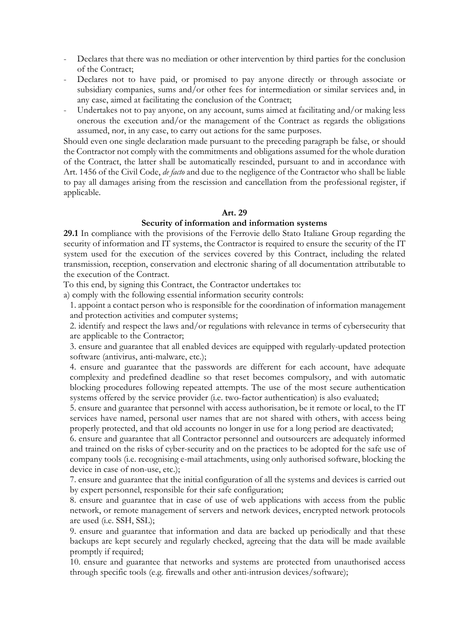- Declares that there was no mediation or other intervention by third parties for the conclusion of the Contract;
- Declares not to have paid, or promised to pay anyone directly or through associate or subsidiary companies, sums and/or other fees for intermediation or similar services and, in any case, aimed at facilitating the conclusion of the Contract;
- Undertakes not to pay anyone, on any account, sums aimed at facilitating and/or making less onerous the execution and/or the management of the Contract as regards the obligations assumed, nor, in any case, to carry out actions for the same purposes.

Should even one single declaration made pursuant to the preceding paragraph be false, or should the Contractor not comply with the commitments and obligations assumed for the whole duration of the Contract, the latter shall be automatically rescinded, pursuant to and in accordance with Art. 1456 of the Civil Code, *de facto* and due to the negligence of the Contractor who shall be liable to pay all damages arising from the rescission and cancellation from the professional register, if applicable.

#### **Art. 29**

#### **Security of information and information systems**

**29.1** In compliance with the provisions of the Ferrovie dello Stato Italiane Group regarding the security of information and IT systems, the Contractor is required to ensure the security of the IT system used for the execution of the services covered by this Contract, including the related transmission, reception, conservation and electronic sharing of all documentation attributable to the execution of the Contract.

To this end, by signing this Contract, the Contractor undertakes to:

a) comply with the following essential information security controls:

1. appoint a contact person who is responsible for the coordination of information management and protection activities and computer systems;

2. identify and respect the laws and/or regulations with relevance in terms of cybersecurity that are applicable to the Contractor;

3. ensure and guarantee that all enabled devices are equipped with regularly-updated protection software (antivirus, anti-malware, etc.);

4. ensure and guarantee that the passwords are different for each account, have adequate complexity and predefined deadline so that reset becomes compulsory, and with automatic blocking procedures following repeated attempts. The use of the most secure authentication systems offered by the service provider (i.e. two-factor authentication) is also evaluated;

5. ensure and guarantee that personnel with access authorisation, be it remote or local, to the IT services have named, personal user names that are not shared with others, with access being properly protected, and that old accounts no longer in use for a long period are deactivated;

6. ensure and guarantee that all Contractor personnel and outsourcers are adequately informed and trained on the risks of cyber-security and on the practices to be adopted for the safe use of company tools (i.e. recognising e-mail attachments, using only authorised software, blocking the device in case of non-use, etc.);

7. ensure and guarantee that the initial configuration of all the systems and devices is carried out by expert personnel, responsible for their safe configuration;

8. ensure and guarantee that in case of use of web applications with access from the public network, or remote management of servers and network devices, encrypted network protocols are used (i.e. SSH, SSL);

9. ensure and guarantee that information and data are backed up periodically and that these backups are kept securely and regularly checked, agreeing that the data will be made available promptly if required;

10. ensure and guarantee that networks and systems are protected from unauthorised access through specific tools (e.g. firewalls and other anti-intrusion devices/software);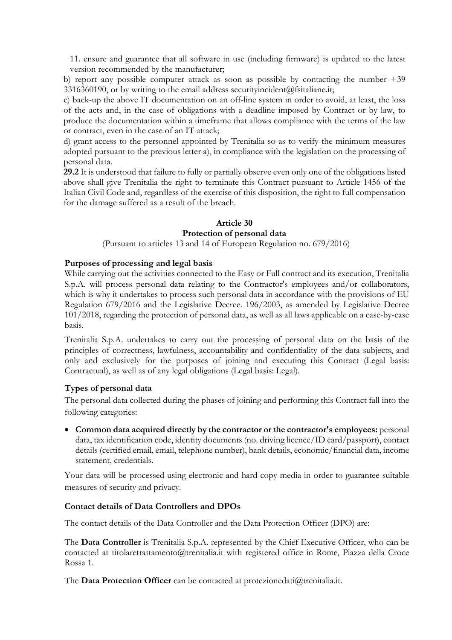11. ensure and guarantee that all software in use (including firmware) is updated to the latest version recommended by the manufacturer;

b) report any possible computer attack as soon as possible by contacting the number +39 3316360190, or by writing to the email address securityincident@fsitaliane.it;

c) back-up the above IT documentation on an off-line system in order to avoid, at least, the loss of the acts and, in the case of obligations with a deadline imposed by Contract or by law, to produce the documentation within a timeframe that allows compliance with the terms of the law or contract, even in the case of an IT attack;

d) grant access to the personnel appointed by Trenitalia so as to verify the minimum measures adopted pursuant to the previous letter a), in compliance with the legislation on the processing of personal data.

**29.2** It is understood that failure to fully or partially observe even only one of the obligations listed above shall give Trenitalia the right to terminate this Contract pursuant to Article 1456 of the Italian Civil Code and, regardless of the exercise of this disposition, the right to full compensation for the damage suffered as a result of the breach.

## **Article 30 Protection of personal data**

(Pursuant to articles 13 and 14 of European Regulation no. 679/2016)

### **Purposes of processing and legal basis**

While carrying out the activities connected to the Easy or Full contract and its execution, Trenitalia S.p.A. will process personal data relating to the Contractor's employees and/or collaborators, which is why it undertakes to process such personal data in accordance with the provisions of EU Regulation 679/2016 and the Legislative Decree. 196/2003, as amended by Legislative Decree 101/2018, regarding the protection of personal data, as well as all laws applicable on a case-by-case basis.

Trenitalia S.p.A. undertakes to carry out the processing of personal data on the basis of the principles of correctness, lawfulness, accountability and confidentiality of the data subjects, and only and exclusively for the purposes of joining and executing this Contract (Legal basis: Contractual), as well as of any legal obligations (Legal basis: Legal).

### **Types of personal data**

The personal data collected during the phases of joining and performing this Contract fall into the following categories:

 **Common data acquired directly by the contractor or the contractor's employees:** personal data, tax identification code, identity documents (no. driving licence/ID card/passport), contact details (certified email, email, telephone number), bank details, economic/financial data, income statement, credentials.

Your data will be processed using electronic and hard copy media in order to guarantee suitable measures of security and privacy.

### **Contact details of Data Controllers and DPOs**

The contact details of the Data Controller and the Data Protection Officer (DPO) are:

The **Data Controller** is Trenitalia S.p.A. represented by the Chief Executive Officer, who can be contacted at titolaretrattamento@trenitalia.it with registered office in Rome, Piazza della Croce Rossa 1.

The **Data Protection Officer** can be contacted at protezionedati@trenitalia.it.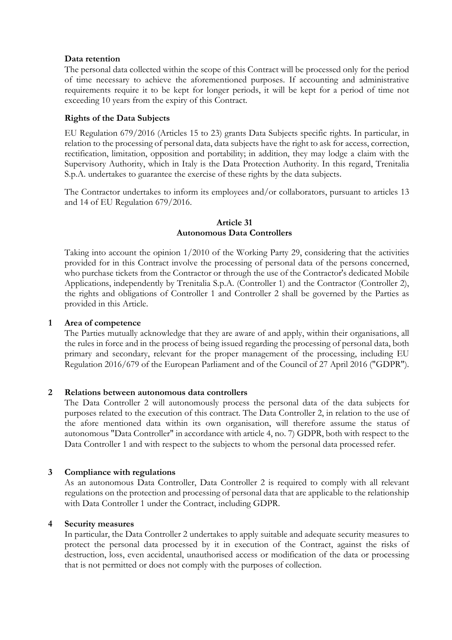### **Data retention**

The personal data collected within the scope of this Contract will be processed only for the period of time necessary to achieve the aforementioned purposes. If accounting and administrative requirements require it to be kept for longer periods, it will be kept for a period of time not exceeding 10 years from the expiry of this Contract.

### **Rights of the Data Subjects**

EU Regulation 679/2016 (Articles 15 to 23) grants Data Subjects specific rights. In particular, in relation to the processing of personal data, data subjects have the right to ask for access, correction, rectification, limitation, opposition and portability; in addition, they may lodge a claim with the Supervisory Authority, which in Italy is the Data Protection Authority. In this regard, Trenitalia S.p.A. undertakes to guarantee the exercise of these rights by the data subjects.

The Contractor undertakes to inform its employees and/or collaborators, pursuant to articles 13 and 14 of EU Regulation 679/2016.

### **Article 31 Autonomous Data Controllers**

Taking into account the opinion 1/2010 of the Working Party 29, considering that the activities provided for in this Contract involve the processing of personal data of the persons concerned, who purchase tickets from the Contractor or through the use of the Contractor's dedicated Mobile Applications, independently by Trenitalia S.p.A. (Controller 1) and the Contractor (Controller 2), the rights and obligations of Controller 1 and Controller 2 shall be governed by the Parties as provided in this Article.

#### **1 Area of competence**

The Parties mutually acknowledge that they are aware of and apply, within their organisations, all the rules in force and in the process of being issued regarding the processing of personal data, both primary and secondary, relevant for the proper management of the processing, including EU Regulation 2016/679 of the European Parliament and of the Council of 27 April 2016 ("GDPR").

### **2 Relations between autonomous data controllers**

The Data Controller 2 will autonomously process the personal data of the data subjects for purposes related to the execution of this contract. The Data Controller 2, in relation to the use of the afore mentioned data within its own organisation, will therefore assume the status of autonomous "Data Controller" in accordance with article 4, no. 7) GDPR, both with respect to the Data Controller 1 and with respect to the subjects to whom the personal data processed refer.

#### **3 Compliance with regulations**

As an autonomous Data Controller, Data Controller 2 is required to comply with all relevant regulations on the protection and processing of personal data that are applicable to the relationship with Data Controller 1 under the Contract, including GDPR.

#### **4 Security measures**

In particular, the Data Controller 2 undertakes to apply suitable and adequate security measures to protect the personal data processed by it in execution of the Contract, against the risks of destruction, loss, even accidental, unauthorised access or modification of the data or processing that is not permitted or does not comply with the purposes of collection.